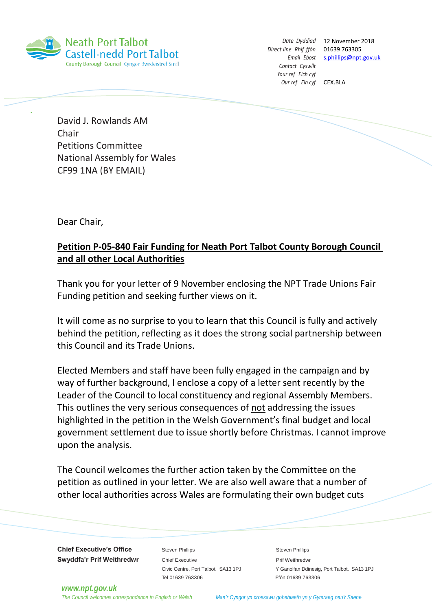

*Direct line Rhif ffôn* 01639 763305 *Contact Cyswllt Your ref Eich cyf Our ref Ein cyf* CEX.BLA

*Date Dyddiad* 12 November 2018 *Email Ebost* [s.phillips@npt.gov.uk](mailto:s.phillips@npt.gov.uk)

David J. Rowlands AM Chair Petitions Committee National Assembly for Wales CF99 1NA (BY EMAIL)

Dear Chair,

## **Petition P-05-840 Fair Funding for Neath Port Talbot County Borough Council and all other Local Authorities**

Thank you for your letter of 9 November enclosing the NPT Trade Unions Fair Funding petition and seeking further views on it.

It will come as no surprise to you to learn that this Council is fully and actively behind the petition, reflecting as it does the strong social partnership between this Council and its Trade Unions.

Elected Members and staff have been fully engaged in the campaign and by way of further background, I enclose a copy of a letter sent recently by the Leader of the Council to local constituency and regional Assembly Members. This outlines the very serious consequences of not addressing the issues highlighted in the petition in the Welsh Government's final budget and local government settlement due to issue shortly before Christmas. I cannot improve upon the analysis.

The Council welcomes the further action taken by the Committee on the petition as outlined in your letter. We are also well aware that a number of other local authorities across Wales are formulating their own budget cuts

**Chief Executive's Office** Steven Phillips **Steven Phillips** Steven Phillips **Swyddfa'r Prif Weithredwr** Chief Executive **Chief Executive Prif Weithredwr** 

Tel 01639 763306 Ffôn 01639 763306

Civic Centre, Port Talbot. SA13 1PJ Y Ganolfan Ddinesig, Port Talbot. SA13 1PJ

*[www.npt.gov.uk](http://www.npt.gov.uk/)*

The Council welcomes correspondence in English or Welsh Mae'r Cyngor yn croesawu gohebiaeth yn y Gymraeg neu'r Saene